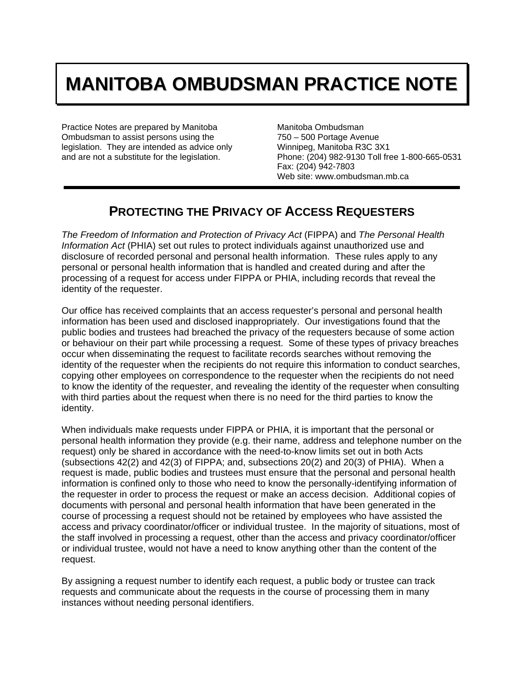# **MANITOBA OMBUDSMAN PRACTICE NOTE**

Practice Notes are prepared by Manitoba Ombudsman to assist persons using the legislation. They are intended as advice only and are not a substitute for the legislation.

Manitoba Ombudsman 750 – 500 Portage Avenue Winnipeg, Manitoba R3C 3X1 Phone: (204) 982-9130 Toll free 1-800-665-0531 Fax: (204) 942-7803 Web site: www.ombudsman.mb.ca

## **PROTECTING THE PRIVACY OF ACCESS REQUESTERS**

*The Freedom of Information and Protection of Privacy Act* (FIPPA) and *The Personal Health Information Act* (PHIA) set out rules to protect individuals against unauthorized use and disclosure of recorded personal and personal health information. These rules apply to any personal or personal health information that is handled and created during and after the processing of a request for access under FIPPA or PHIA, including records that reveal the identity of the requester.

Our office has received complaints that an access requester's personal and personal health information has been used and disclosed inappropriately. Our investigations found that the public bodies and trustees had breached the privacy of the requesters because of some action or behaviour on their part while processing a request. Some of these types of privacy breaches occur when disseminating the request to facilitate records searches without removing the identity of the requester when the recipients do not require this information to conduct searches, copying other employees on correspondence to the requester when the recipients do not need to know the identity of the requester, and revealing the identity of the requester when consulting with third parties about the request when there is no need for the third parties to know the identity.

When individuals make requests under FIPPA or PHIA, it is important that the personal or personal health information they provide (e.g. their name, address and telephone number on the request) only be shared in accordance with the need-to-know limits set out in both Acts (subsections 42(2) and 42(3) of FIPPA; and, subsections 20(2) and 20(3) of PHIA). When a request is made, public bodies and trustees must ensure that the personal and personal health information is confined only to those who need to know the personally-identifying information of the requester in order to process the request or make an access decision. Additional copies of documents with personal and personal health information that have been generated in the course of processing a request should not be retained by employees who have assisted the access and privacy coordinator/officer or individual trustee. In the majority of situations, most of the staff involved in processing a request, other than the access and privacy coordinator/officer or individual trustee, would not have a need to know anything other than the content of the request.

By assigning a request number to identify each request, a public body or trustee can track requests and communicate about the requests in the course of processing them in many instances without needing personal identifiers.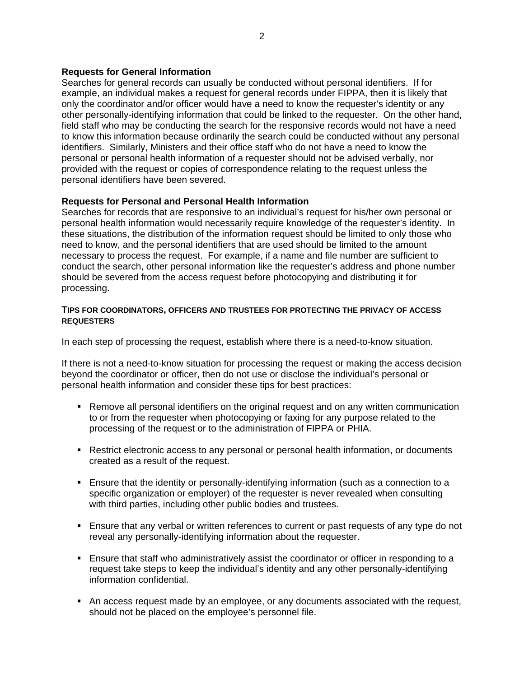#### **Requests for General Information**

Searches for general records can usually be conducted without personal identifiers. If for example, an individual makes a request for general records under FIPPA, then it is likely that only the coordinator and/or officer would have a need to know the requester's identity or any other personally-identifying information that could be linked to the requester. On the other hand, field staff who may be conducting the search for the responsive records would not have a need to know this information because ordinarily the search could be conducted without any personal identifiers. Similarly, Ministers and their office staff who do not have a need to know the personal or personal health information of a requester should not be advised verbally, nor provided with the request or copies of correspondence relating to the request unless the personal identifiers have been severed.

### **Requests for Personal and Personal Health Information**

Searches for records that are responsive to an individual's request for his/her own personal or personal health information would necessarily require knowledge of the requester's identity. In these situations, the distribution of the information request should be limited to only those who need to know, and the personal identifiers that are used should be limited to the amount necessary to process the request. For example, if a name and file number are sufficient to conduct the search, other personal information like the requester's address and phone number should be severed from the access request before photocopying and distributing it for processing.

#### **TIPS FOR COORDINATORS, OFFICERS AND TRUSTEES FOR PROTECTING THE PRIVACY OF ACCESS REQUESTERS**

In each step of processing the request, establish where there is a need-to-know situation.

If there is not a need-to-know situation for processing the request or making the access decision beyond the coordinator or officer, then do not use or disclose the individual's personal or personal health information and consider these tips for best practices:

- **Remove all personal identifiers on the original request and on any written communication** to or from the requester when photocopying or faxing for any purpose related to the processing of the request or to the administration of FIPPA or PHIA.
- **Restrict electronic access to any personal or personal health information, or documents** created as a result of the request.
- Ensure that the identity or personally-identifying information (such as a connection to a specific organization or employer) of the requester is never revealed when consulting with third parties, including other public bodies and trustees.
- **Ensure that any verbal or written references to current or past requests of any type do not** reveal any personally-identifying information about the requester.
- Ensure that staff who administratively assist the coordinator or officer in responding to a request take steps to keep the individual's identity and any other personally-identifying information confidential.
- An access request made by an employee, or any documents associated with the request, should not be placed on the employee's personnel file.